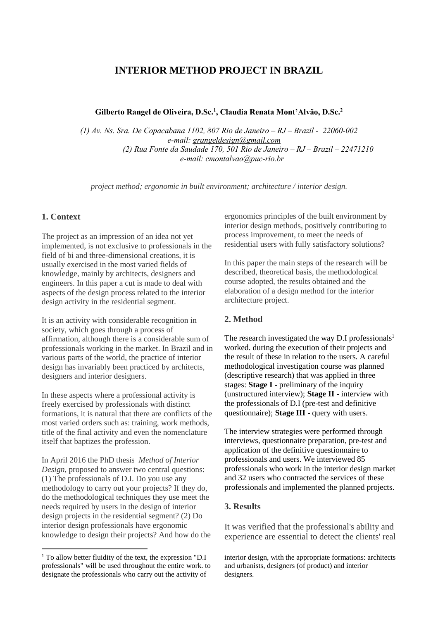# **INTERIOR METHOD PROJECT IN BRAZIL**

**Gilberto Rangel de Oliveira, D.Sc.<sup>1</sup> , Claudia Renata Mont'Alvão, D.Sc.<sup>2</sup>**

*(1) Av. Ns. Sra. De Copacabana 1102, 807 Rio de Janeiro – RJ – Brazil - 22060-002 e-mail: [grangeldesign@gmail.com](mailto:grangeldesign@gmail.com) (2) Rua Fonte da Saudade 170, 501 Rio de Janeiro – RJ – Brazil – 22471210 e-mail: cmontalvao@puc-rio.br*

*project method; ergonomic in built environment; architecture / interior design.*

#### **1. Context**

 $\overline{a}$ 

The project as an impression of an idea not yet implemented, is not exclusive to professionals in the field of bi and three-dimensional creations, it is usually exercised in the most varied fields of knowledge, mainly by architects, designers and engineers. In this paper a cut is made to deal with aspects of the design process related to the interior design activity in the residential segment.

It is an activity with considerable recognition in society, which goes through a process of affirmation, although there is a considerable sum of professionals working in the market. In Brazil and in various parts of the world, the practice of interior design has invariably been practiced by architects, designers and interior designers.

In these aspects where a professional activity is freely exercised by professionals with distinct formations, it is natural that there are conflicts of the most varied orders such as: training, work methods, title of the final activity and even the nomenclature itself that baptizes the profession.

In April 2016 the PhD thesis *Method of Interior Design*, proposed to answer two central questions: (1) The professionals of D.I. Do you use any methodology to carry out your projects? If they do, do the methodological techniques they use meet the needs required by users in the design of interior design projects in the residential segment? (2) Do interior design professionals have ergonomic knowledge to design their projects? And how do the ergonomics principles of the built environment by interior design methods, positively contributing to process improvement, to meet the needs of residential users with fully satisfactory solutions?

In this paper the main steps of the research will be described, theoretical basis, the methodological course adopted, the results obtained and the elaboration of a design method for the interior architecture project.

#### **2. Method**

The research investigated the way D.I professionals<sup>1</sup> worked. during the execution of their projects and the result of these in relation to the users. A careful methodological investigation course was planned (descriptive research) that was applied in three stages: **Stage I** - preliminary of the inquiry (unstructured interview); **Stage II** - interview with the professionals of D.I (pre-test and definitive questionnaire); **Stage III** - query with users.

The interview strategies were performed through interviews, questionnaire preparation, pre-test and application of the definitive questionnaire to professionals and users. We interviewed 85 professionals who work in the interior design market and 32 users who contracted the services of these professionals and implemented the planned projects.

#### **3. Results**

It was verified that the professional's ability and experience are essential to detect the clients' real

<sup>1</sup> To allow better fluidity of the text, the expression "D.I professionals" will be used throughout the entire work. to designate the professionals who carry out the activity of

interior design, with the appropriate formations: architects and urbanists, designers (of product) and interior designers.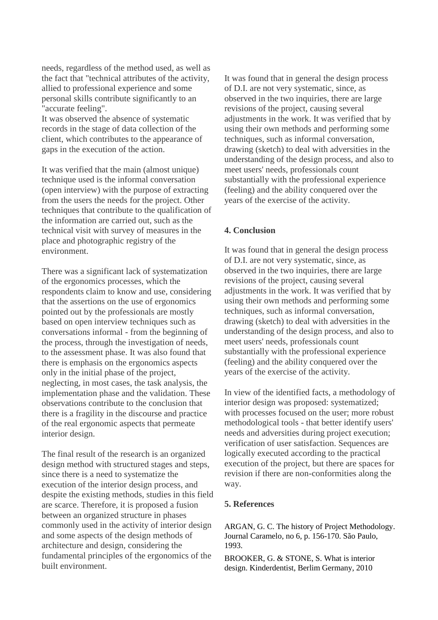needs, regardless of the method used, as well as the fact that "technical attributes of the activity, allied to professional experience and some personal skills contribute significantly to an "accurate feeling".

It was observed the absence of systematic records in the stage of data collection of the client, which contributes to the appearance of gaps in the execution of the action.

It was verified that the main (almost unique) technique used is the informal conversation (open interview) with the purpose of extracting from the users the needs for the project. Other techniques that contribute to the qualification of the information are carried out, such as the technical visit with survey of measures in the place and photographic registry of the environment.

There was a significant lack of systematization of the ergonomics processes, which the respondents claim to know and use, considering that the assertions on the use of ergonomics pointed out by the professionals are mostly based on open interview techniques such as conversations informal - from the beginning of the process, through the investigation of needs, to the assessment phase. It was also found that there is emphasis on the ergonomics aspects only in the initial phase of the project, neglecting, in most cases, the task analysis, the implementation phase and the validation. These observations contribute to the conclusion that there is a fragility in the discourse and practice of the real ergonomic aspects that permeate interior design.

The final result of the research is an organized design method with structured stages and steps, since there is a need to systematize the execution of the interior design process, and despite the existing methods, studies in this field are scarce. Therefore, it is proposed a fusion between an organized structure in phases commonly used in the activity of interior design and some aspects of the design methods of architecture and design, considering the fundamental principles of the ergonomics of the built environment.

It was found that in general the design process of D.I. are not very systematic, since, as observed in the two inquiries, there are large revisions of the project, causing several adjustments in the work. It was verified that by using their own methods and performing some techniques, such as informal conversation, drawing (sketch) to deal with adversities in the understanding of the design process, and also to meet users' needs, professionals count substantially with the professional experience (feeling) and the ability conquered over the years of the exercise of the activity.

## **4. Conclusion**

It was found that in general the design process of D.I. are not very systematic, since, as observed in the two inquiries, there are large revisions of the project, causing several adjustments in the work. It was verified that by using their own methods and performing some techniques, such as informal conversation, drawing (sketch) to deal with adversities in the understanding of the design process, and also to meet users' needs, professionals count substantially with the professional experience (feeling) and the ability conquered over the years of the exercise of the activity.

In view of the identified facts, a methodology of interior design was proposed: systematized; with processes focused on the user; more robust methodological tools - that better identify users' needs and adversities during project execution; verification of user satisfaction. Sequences are logically executed according to the practical execution of the project, but there are spaces for revision if there are non-conformities along the way.

### **5. References**

ARGAN, G. C. The history of Project Methodology. Journal Caramelo, no 6, p. 156-170. São Paulo, 1993.

BROOKER, G. & STONE, S. What is interior design. Kinderdentist, Berlim Germany, 2010